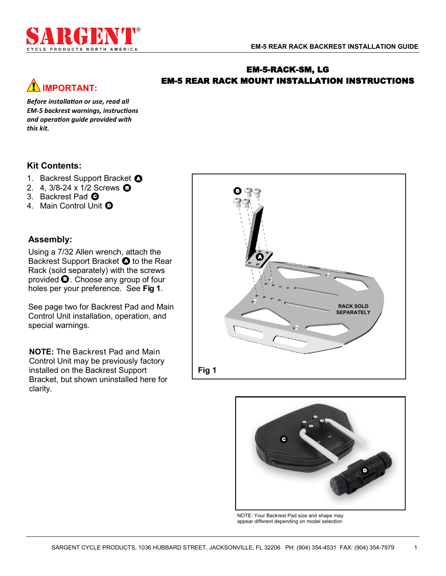# **IMPORTANT:**

### EM-5-RACK-SM, LG EM-5 REAR RACK MOUNT INSTALLATION INSTRUCTIONS

*Before installation or use, read all EM-5 backrest warnings, instructions and operation guide provided with this kit.*

### **Kit Contents:**

- 1. Backrest Support Bracket **O**
- 2. 4, 3/8-24 x 1/2 Screws **O**
- 3. Backrest Pad **@**
- 4. Main Control Unit  $\boldsymbol{\mathsf{\Theta}}$

### **Assembly:**

Using a 7/32 Allen wrench, attach the Backrest Support Bracket  $\bullet$  to the Rear Rack (sold separately) with the screws provided  $\mathbf \Theta$ . Choose any group of four holes per your preference. See **Fig 1**.

See page two for Backrest Pad and Main Control Unit installation, operation, and special warnings.

**NOTE:** The Backrest Pad and Main Control Unit may be previously factory installed on the Backrest Support Bracket, but shown uninstalled here for clarity.





NOTE: Your Backrest Pad size and shape may appear different depending on model selection.